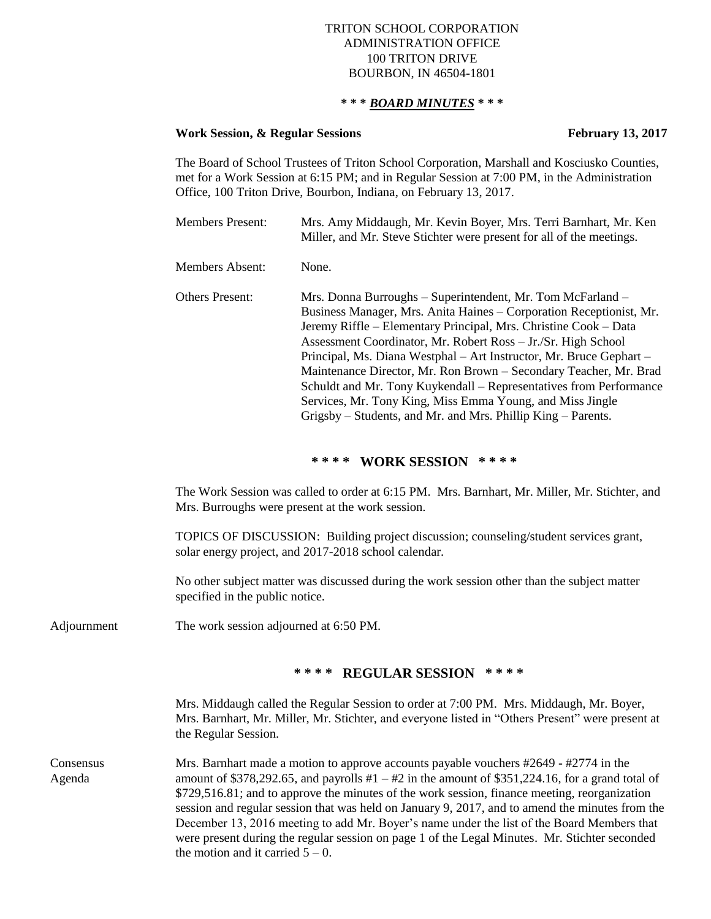## TRITON SCHOOL CORPORATION ADMINISTRATION OFFICE 100 TRITON DRIVE BOURBON, IN 46504-1801

## **\* \* \*** *BOARD MINUTES* **\* \* \***

## **Work Session, & Regular Sessions February 13, 2017**

The Board of School Trustees of Triton School Corporation, Marshall and Kosciusko Counties, met for a Work Session at 6:15 PM; and in Regular Session at 7:00 PM, in the Administration Office, 100 Triton Drive, Bourbon, Indiana, on February 13, 2017.

| <b>Members Present:</b> | Mrs. Amy Middaugh, Mr. Kevin Boyer, Mrs. Terri Barnhart, Mr. Ken<br>Miller, and Mr. Steve Stichter were present for all of the meetings.                                                                                                                                                                                                                                                                                                                                                                                                                                                                              |
|-------------------------|-----------------------------------------------------------------------------------------------------------------------------------------------------------------------------------------------------------------------------------------------------------------------------------------------------------------------------------------------------------------------------------------------------------------------------------------------------------------------------------------------------------------------------------------------------------------------------------------------------------------------|
| Members Absent:         | None.                                                                                                                                                                                                                                                                                                                                                                                                                                                                                                                                                                                                                 |
| <b>Others Present:</b>  | Mrs. Donna Burroughs - Superintendent, Mr. Tom McFarland -<br>Business Manager, Mrs. Anita Haines – Corporation Receptionist, Mr.<br>Jeremy Riffle – Elementary Principal, Mrs. Christine Cook – Data<br>Assessment Coordinator, Mr. Robert Ross - Jr./Sr. High School<br>Principal, Ms. Diana Westphal - Art Instructor, Mr. Bruce Gephart -<br>Maintenance Director, Mr. Ron Brown – Secondary Teacher, Mr. Brad<br>Schuldt and Mr. Tony Kuykendall – Representatives from Performance<br>Services, Mr. Tony King, Miss Emma Young, and Miss Jingle<br>Grigsby – Students, and Mr. and Mrs. Phillip King – Parents. |

# **\* \* \* \* WORK SESSION \* \* \* \***

The Work Session was called to order at 6:15 PM. Mrs. Barnhart, Mr. Miller, Mr. Stichter, and Mrs. Burroughs were present at the work session.

TOPICS OF DISCUSSION: Building project discussion; counseling/student services grant, solar energy project, and 2017-2018 school calendar.

No other subject matter was discussed during the work session other than the subject matter specified in the public notice.

Adjournment The work session adjourned at 6:50 PM.

### **\* \* \* \* REGULAR SESSION \* \* \* \***

Mrs. Middaugh called the Regular Session to order at 7:00 PM. Mrs. Middaugh, Mr. Boyer, Mrs. Barnhart, Mr. Miller, Mr. Stichter, and everyone listed in "Others Present" were present at the Regular Session.

Consensus Mrs. Barnhart made a motion to approve accounts payable vouchers #2649 - #2774 in the Agenda amount of \$378,292.65, and payrolls  $#1 - #2$  in the amount of \$351,224.16, for a grand total of \$729,516.81; and to approve the minutes of the work session, finance meeting, reorganization session and regular session that was held on January 9, 2017, and to amend the minutes from the December 13, 2016 meeting to add Mr. Boyer's name under the list of the Board Members that were present during the regular session on page 1 of the Legal Minutes. Mr. Stichter seconded the motion and it carried  $5 - 0$ .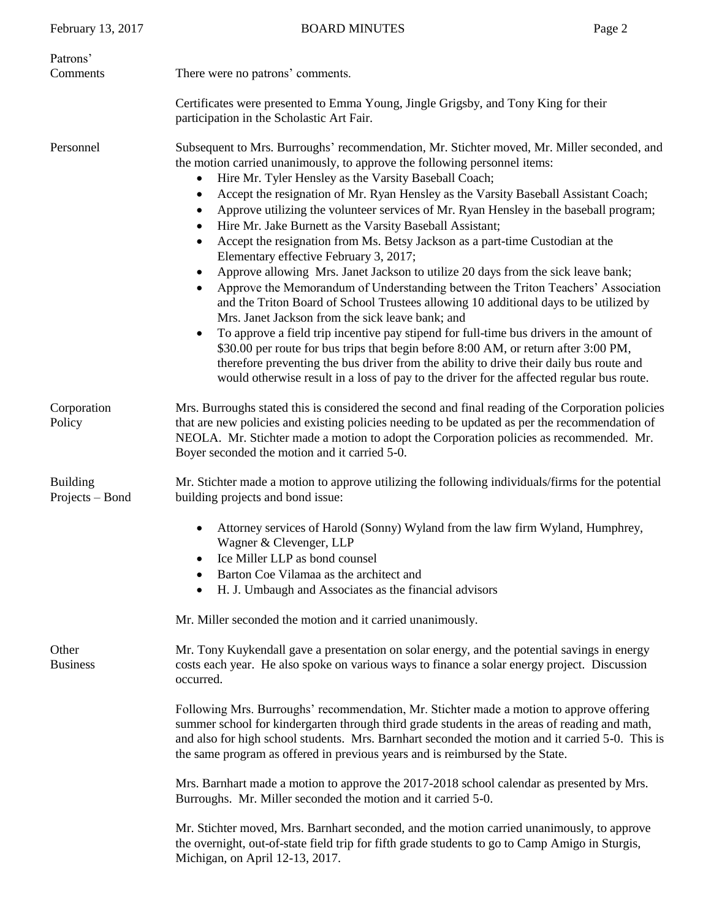| February 13, 2017                  | <b>BOARD MINUTES</b>                                                                                                                                                                                                                                                                                                                                                                                                                                                                                                                                                                                                                                                                                                                                                                                                                                                                                                                                                                                                                                                                                                                                                                                                                                                                                                                                                                       | Page 2 |
|------------------------------------|--------------------------------------------------------------------------------------------------------------------------------------------------------------------------------------------------------------------------------------------------------------------------------------------------------------------------------------------------------------------------------------------------------------------------------------------------------------------------------------------------------------------------------------------------------------------------------------------------------------------------------------------------------------------------------------------------------------------------------------------------------------------------------------------------------------------------------------------------------------------------------------------------------------------------------------------------------------------------------------------------------------------------------------------------------------------------------------------------------------------------------------------------------------------------------------------------------------------------------------------------------------------------------------------------------------------------------------------------------------------------------------------|--------|
| Patrons'<br>Comments               | There were no patrons' comments.                                                                                                                                                                                                                                                                                                                                                                                                                                                                                                                                                                                                                                                                                                                                                                                                                                                                                                                                                                                                                                                                                                                                                                                                                                                                                                                                                           |        |
|                                    | Certificates were presented to Emma Young, Jingle Grigsby, and Tony King for their<br>participation in the Scholastic Art Fair.                                                                                                                                                                                                                                                                                                                                                                                                                                                                                                                                                                                                                                                                                                                                                                                                                                                                                                                                                                                                                                                                                                                                                                                                                                                            |        |
| Personnel                          | Subsequent to Mrs. Burroughs' recommendation, Mr. Stichter moved, Mr. Miller seconded, and<br>the motion carried unanimously, to approve the following personnel items:<br>Hire Mr. Tyler Hensley as the Varsity Baseball Coach;<br>$\bullet$<br>Accept the resignation of Mr. Ryan Hensley as the Varsity Baseball Assistant Coach;<br>٠<br>Approve utilizing the volunteer services of Mr. Ryan Hensley in the baseball program;<br>$\bullet$<br>Hire Mr. Jake Burnett as the Varsity Baseball Assistant;<br>Accept the resignation from Ms. Betsy Jackson as a part-time Custodian at the<br>$\bullet$<br>Elementary effective February 3, 2017;<br>Approve allowing Mrs. Janet Jackson to utilize 20 days from the sick leave bank;<br>$\bullet$<br>Approve the Memorandum of Understanding between the Triton Teachers' Association<br>$\bullet$<br>and the Triton Board of School Trustees allowing 10 additional days to be utilized by<br>Mrs. Janet Jackson from the sick leave bank; and<br>To approve a field trip incentive pay stipend for full-time bus drivers in the amount of<br>$\bullet$<br>\$30.00 per route for bus trips that begin before 8:00 AM, or return after 3:00 PM,<br>therefore preventing the bus driver from the ability to drive their daily bus route and<br>would otherwise result in a loss of pay to the driver for the affected regular bus route. |        |
| Corporation<br>Policy              | Mrs. Burroughs stated this is considered the second and final reading of the Corporation policies<br>that are new policies and existing policies needing to be updated as per the recommendation of<br>NEOLA. Mr. Stichter made a motion to adopt the Corporation policies as recommended. Mr.<br>Boyer seconded the motion and it carried 5-0.                                                                                                                                                                                                                                                                                                                                                                                                                                                                                                                                                                                                                                                                                                                                                                                                                                                                                                                                                                                                                                            |        |
| <b>Building</b><br>Projects – Bond | Mr. Stichter made a motion to approve utilizing the following individuals/firms for the potential<br>building projects and bond issue:                                                                                                                                                                                                                                                                                                                                                                                                                                                                                                                                                                                                                                                                                                                                                                                                                                                                                                                                                                                                                                                                                                                                                                                                                                                     |        |
|                                    | Attorney services of Harold (Sonny) Wyland from the law firm Wyland, Humphrey,<br>Wagner & Clevenger, LLP<br>Ice Miller LLP as bond counsel<br>Barton Coe Vilamaa as the architect and<br>H. J. Umbaugh and Associates as the financial advisors<br>٠                                                                                                                                                                                                                                                                                                                                                                                                                                                                                                                                                                                                                                                                                                                                                                                                                                                                                                                                                                                                                                                                                                                                      |        |
|                                    | Mr. Miller seconded the motion and it carried unanimously.                                                                                                                                                                                                                                                                                                                                                                                                                                                                                                                                                                                                                                                                                                                                                                                                                                                                                                                                                                                                                                                                                                                                                                                                                                                                                                                                 |        |
| Other<br><b>Business</b>           | Mr. Tony Kuykendall gave a presentation on solar energy, and the potential savings in energy<br>costs each year. He also spoke on various ways to finance a solar energy project. Discussion<br>occurred.                                                                                                                                                                                                                                                                                                                                                                                                                                                                                                                                                                                                                                                                                                                                                                                                                                                                                                                                                                                                                                                                                                                                                                                  |        |
|                                    | Following Mrs. Burroughs' recommendation, Mr. Stichter made a motion to approve offering<br>summer school for kindergarten through third grade students in the areas of reading and math,<br>and also for high school students. Mrs. Barnhart seconded the motion and it carried 5-0. This is<br>the same program as offered in previous years and is reimbursed by the State.                                                                                                                                                                                                                                                                                                                                                                                                                                                                                                                                                                                                                                                                                                                                                                                                                                                                                                                                                                                                             |        |
|                                    | Mrs. Barnhart made a motion to approve the 2017-2018 school calendar as presented by Mrs.<br>Burroughs. Mr. Miller seconded the motion and it carried 5-0.                                                                                                                                                                                                                                                                                                                                                                                                                                                                                                                                                                                                                                                                                                                                                                                                                                                                                                                                                                                                                                                                                                                                                                                                                                 |        |
|                                    | Mr. Stichter moved, Mrs. Barnhart seconded, and the motion carried unanimously, to approve<br>the overnight, out-of-state field trip for fifth grade students to go to Camp Amigo in Sturgis,<br>Michigan, on April 12-13, 2017.                                                                                                                                                                                                                                                                                                                                                                                                                                                                                                                                                                                                                                                                                                                                                                                                                                                                                                                                                                                                                                                                                                                                                           |        |